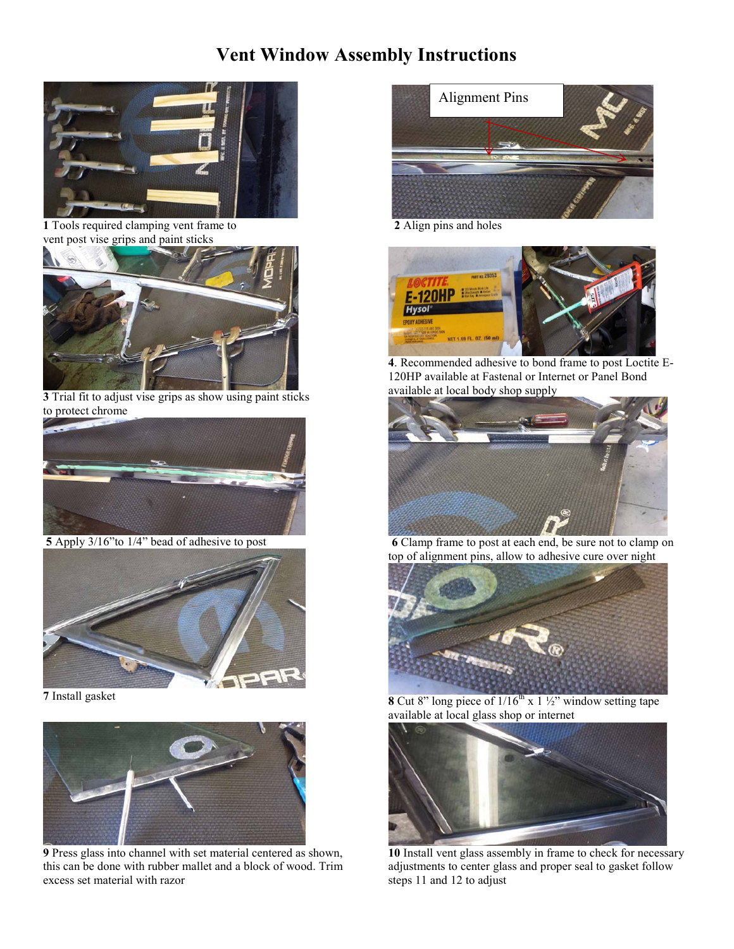## **Vent Window Assembly Instructions**



 **<sup>1</sup>** Tools required clamping vent frame to **2** Align pins and holes vent post vise grips and paint sticks



**3** Trial fit to adjust vise grips as show using paint sticks to protect chrome



 **5** Apply 3/16"to 1/4" bead of adhesive to post



**7** Install gasket



**9** Press glass into channel with set material centered as shown, this can be done with rubber mallet and a block of wood. Trim excess set material with razor





**4**. Recommended adhesive to bond frame to post Loctite E-120HP available at Fastenal or Internet or Panel Bond available at local body shop supply



**6** Clamp frame to post at each end, be sure not to clamp on top of alignment pins, allow to adhesive cure over night



**8** Cut 8" long piece of  $1/16^{th}$  x  $1\frac{1}{2}$ " window setting tape available at local glass shop or internet



**10** Install vent glass assembly in frame to check for necessary adjustments to center glass and proper seal to gasket follow steps 11 and 12 to adjust